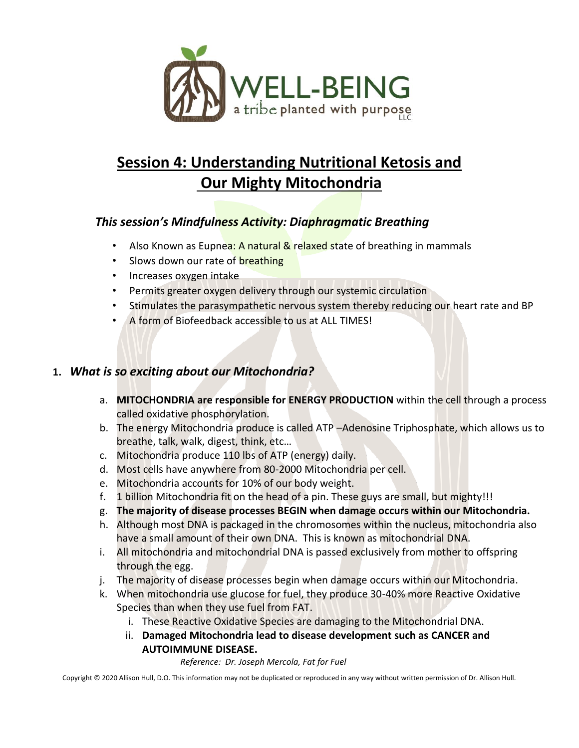

# **Session 4: Understanding Nutritional Ketosis and Our Mighty Mitochondria**

## *This session's Mindfulness Activity: Diaphragmatic Breathing*

- Also Known as Eupnea: A natural & relaxed state of breathing in mammals
- Slows down our rate of breathing
- Increases oxygen intake
- Permits greater oxygen delivery through our systemic circulation
- Stimulates the parasympathetic nervous system thereby reducing our heart rate and BP
- A form of Biofeedback accessible to us at ALL TIMES!

### **1.** *What is so exciting about our Mitochondria?*

- a. **MITOCHONDRIA are responsible for ENERGY PRODUCTION** within the cell through a process called oxidative phosphorylation.
- b. The energy Mitochondria produce is called ATP -Adenosine Triphosphate, which allows us to breathe, talk, walk, digest, think, etc…
- c. Mitochondria produce 110 lbs of ATP (energy) daily.
- d. Most cells have anywhere from 80-2000 Mitochondria per cell.
- e. Mitochondria accounts for 10% of our body weight.
- f. 1 billion Mitochondria fit on the head of a pin. These guys are small, but mighty!!!
- g. **The majority of disease processes BEGIN when damage occurs within our Mitochondria.**
- h. Although most DNA is packaged in the chromosomes within the nucleus, mitochondria also have a small amount of their own DNA. This is known as mitochondrial DNA.
- i. All mitochondria and mitochondrial DNA is passed exclusively from mother to offspring through the egg.
- j. The majority of disease processes begin when damage occurs within our Mitochondria.
- k. When mitochondria use glucose for fuel, they produce 30-40% more Reactive Oxidative Species than when they use fuel from FAT.
	- i. These Reactive Oxidative Species are damaging to the Mitochondrial DNA.
	- ii. **Damaged Mitochondria lead to disease development such as CANCER and AUTOIMMUNE DISEASE.**

*Reference: Dr. Joseph Mercola, Fat for Fuel*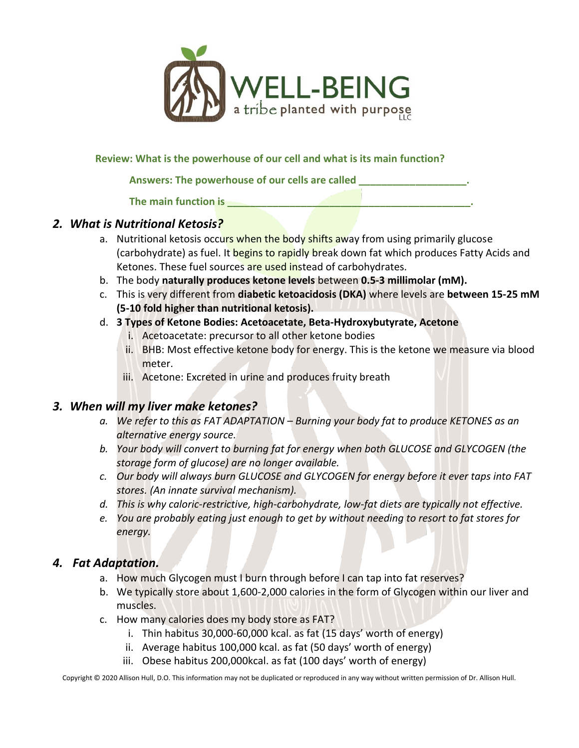

**Review: What is the powerhouse of our cell and what is its main function?**

**Answers: The powerhouse of our cells are called \_\_\_\_\_\_\_\_\_\_\_\_\_\_\_\_\_\_\_.**

The main function is **The main function is** 

#### *2. What is Nutritional Ketosis?*

- a. Nutritional ketosis occurs when the body shifts away from using primarily glucose (carbohydrate) as fuel. It begins to rapidly break down fat which produces Fatty Acids and Ketones. These fuel sources are used instead of carbohydrates.
- b. The body **naturally produces ketone levels** between **0.5-3 millimolar (mM).**
- c. This is very different from **diabetic ketoacidosis (DKA)** where levels are **between 15-25 mM (5-10 fold higher than nutritional ketosis).**
- d. **3 Types of Ketone Bodies: Acetoacetate, Beta-Hydroxybutyrate, Acetone**
	- i. Acetoacetate: precursor to all other ketone bodies
	- ii. BHB: Most effective ketone body for energy. This is the ketone we measure via blood meter.
	- iii. Acetone: Excreted in urine and produces fruity breath

#### *3. When will my liver make ketones?*

- *a. We refer to this as FAT ADAPTATION – Burning your body fat to produce KETONES as an alternative energy source.*
- *b. Your body will convert to burning fat for energy when both GLUCOSE and GLYCOGEN (the storage form of glucose) are no longer available.*
- *c. Our body will always burn GLUCOSE and GLYCOGEN for energy before it ever taps into FAT stores. (An innate survival mechanism).*
- *d. This is why caloric-restrictive, high-carbohydrate, low-fat diets are typically not effective.*
- *e. You are probably eating just enough to get by without needing to resort to fat stores for energy.*

### *4. Fat Adaptation.*

- a. How much Glycogen must I burn through before I can tap into fat reserves?
- b. We typically store about 1,600-2,000 calories in the form of Glycogen within our liver and muscles.
- c. How many calories does my body store as FAT?
	- i. Thin habitus 30,000-60,000 kcal. as fat (15 days' worth of energy)
	- ii. Average habitus 100,000 kcal. as fat (50 days' worth of energy)
	- iii. Obese habitus 200,000kcal. as fat (100 days' worth of energy)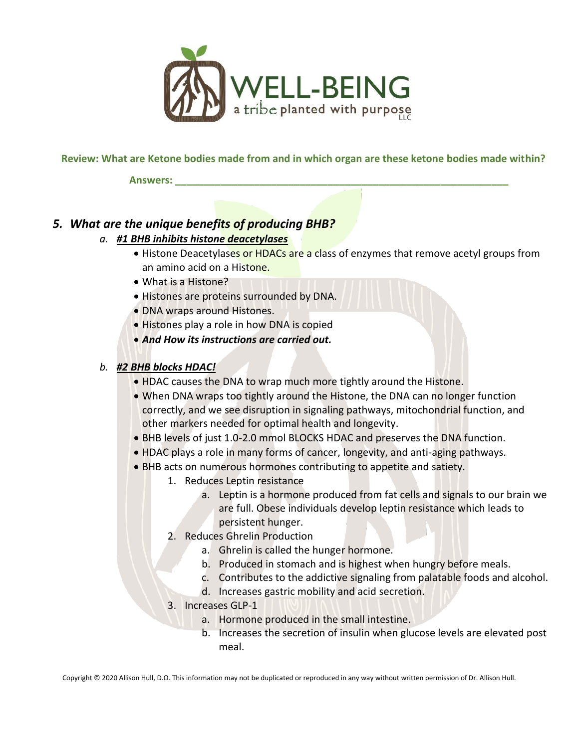

#### **Review: What are Ketone bodies made from and in which organ are these ketone bodies made within?**

**Answers: \_\_\_\_\_\_\_\_\_\_\_\_\_\_\_\_\_\_\_\_\_\_\_\_\_\_\_\_\_\_\_\_\_\_\_\_\_\_\_\_\_\_\_\_\_\_\_\_\_\_\_\_\_\_\_\_\_\_\_**

### *5. What are the unique benefits of producing BHB?*

- *a. #1 BHB inhibits histone deacetylases*
	- Histone Deacetylases or HDACs are a class of enzymes that remove acetyl groups from an amino acid on a Histone.
	- What is a Histone?
	- Histones are proteins surrounded by DNA.
	- DNA wraps around Histones.
	- Histones play a role in how DNA is copied
	- *And How its instructions are carried out.*

#### *b. #2 BHB blocks HDAC!*

- HDAC causes the DNA to wrap much more tightly around the Histone.
- When DNA wraps too tightly around the Histone, the DNA can no longer function correctly, and we see disruption in signaling pathways, mitochondrial function, and other markers needed for optimal health and longevity.
- BHB levels of just 1.0-2.0 mmol BLOCKS HDAC and preserves the DNA function.
- HDAC plays a role in many forms of cancer, longevity, and anti-aging pathways.
- BHB acts on numerous hormones contributing to appetite and satiety.
	- 1. Reduces Leptin resistance
		- a. Leptin is a hormone produced from fat cells and signals to our brain we are full. Obese individuals develop leptin resistance which leads to persistent hunger.
		- 2. Reduces Ghrelin Production
			- a. Ghrelin is called the hunger hormone.
			- b. Produced in stomach and is highest when hungry before meals.
			- c. Contributes to the addictive signaling from palatable foods and alcohol.
			- d. Increases gastric mobility and acid secretion.
		- 3. Increases GLP-1
			- a. Hormone produced in the small intestine.
				- b. Increases the secretion of insulin when glucose levels are elevated post meal.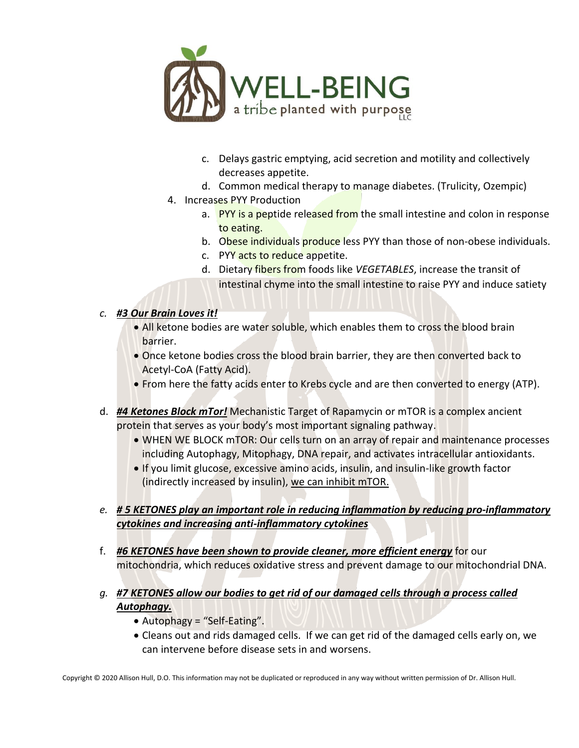

- c. Delays gastric emptying, acid secretion and motility and collectively decreases appetite.
- d. Common medical therapy to manage diabetes. (Trulicity, Ozempic)
- 4. Increases PYY Production
	- a. PYY is a peptide released from the small intestine and colon in response to eating.
	- b. Obese individuals produce less PYY than those of non-obese individuals.
	- c. PYY acts to reduce appetite.
	- d. Dietary fibers from foods like *VEGETABLES*, increase the transit of intestinal chyme into the small intestine to raise PYY and induce satiety

#### *c. #3 Our Brain Loves it!*

- All ketone bodies are water soluble, which enables them to cross the blood brain barrier.
- Once ketone bodies cross the blood brain barrier, they are then converted back to Acetyl-CoA (Fatty Acid).
- From here the fatty acids enter to Krebs cycle and are then converted to energy (ATP).
- d. *#4 Ketones Block mTor!* Mechanistic Target of Rapamycin or mTOR is a complex ancient protein that serves as your body's most important signaling pathway.
	- WHEN WE BLOCK mTOR: Our cells turn on an array of repair and maintenance processes including Autophagy, Mitophagy, DNA repair, and activates intracellular antioxidants.
	- If you limit glucose, excessive amino acids, insulin, and insulin-like growth factor (indirectly increased by insulin), we can inhibit mTOR.
- *e. # 5 KETONES play an important role in reducing inflammation by reducing pro-inflammatory cytokines and increasing anti-inflammatory cytokines*
- f. *#6 KETONES have been shown to provide cleaner, more efficient energy* for our mitochondria, which reduces oxidative stress and prevent damage to our mitochondrial DNA.
- *g. #7 KETONES allow our bodies to get rid of our damaged cells through a process called Autophagy.* 
	- Autophagy = "Self-Eating".
	- Cleans out and rids damaged cells. If we can get rid of the damaged cells early on, we can intervene before disease sets in and worsens.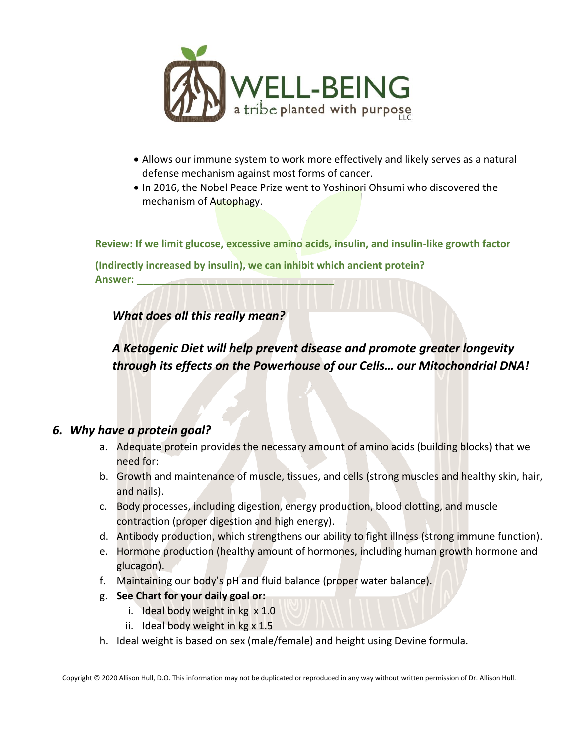

- Allows our immune system to work more effectively and likely serves as a natural defense mechanism against most forms of cancer.
- In 2016, the Nobel Peace Prize went to Yoshinori Ohsumi who discovered the mechanism of Autophagy.

**Review: If we limit glucose, excessive amino acids, insulin, and insulin-like growth factor** 

**(Indirectly increased by insulin), we can inhibit which ancient protein? Answer: \_\_\_\_\_\_\_\_\_\_\_\_\_\_\_\_\_\_\_\_\_\_\_\_\_\_\_\_\_\_\_\_\_\_\_** 

*What does all this really mean?*

*A Ketogenic Diet will help prevent disease and promote greater longevity through its effects on the Powerhouse of our Cells… our Mitochondrial DNA!*

#### *6. Why have a protein goal?*

- a. Adequate protein provides the necessary amount of amino acids (building blocks) that we need for:
- b. Growth and maintenance of muscle, tissues, and cells (strong muscles and healthy skin, hair, and nails).
- c. Body processes, including digestion, energy production, blood clotting, and muscle contraction (proper digestion and high energy).
- d. Antibody production, which strengthens our ability to fight illness (strong immune function).
- e. Hormone production (healthy amount of hormones, including human growth hormone and glucagon).
- f. Maintaining our body's pH and fluid balance (proper water balance).
- g. **See Chart for your daily goal or:**
	- i. Ideal body weight in kg x 1.0
	- ii. Ideal body weight in kg x 1.5
- h. Ideal weight is based on sex (male/female) and height using Devine formula.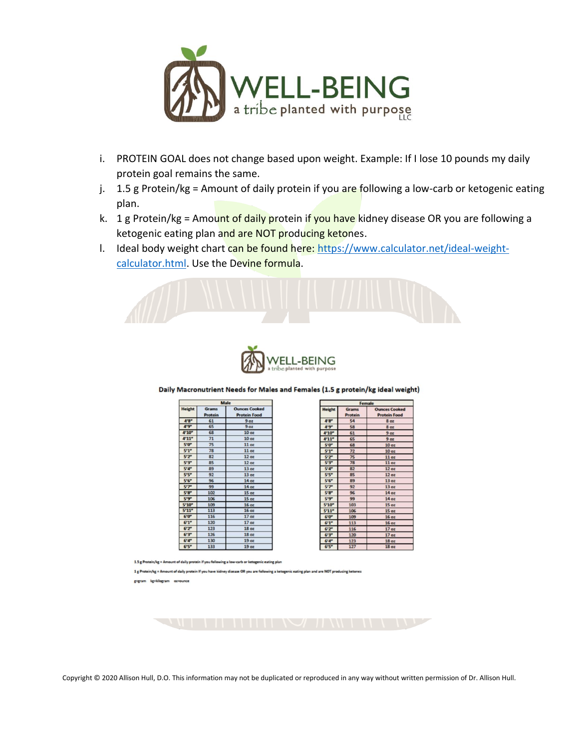

- i. PROTEIN GOAL does not change based upon weight. Example: If I lose 10 pounds my daily protein goal remains the same.
- j. 1.5 g Protein/kg = Amount of daily protein if you are following a low-carb or ketogenic eating plan.
- k. 1 g Protein/kg = Amount of daily protein if you have kidney disease OR you are following a ketogenic eating plan and are NOT producing ketones.
- I. Ideal body weight chart can be found here[: https://www.calculator.net/ideal-weight](https://www.calculator.net/ideal-weight-calculator.html)[calculator.html.](https://www.calculator.net/ideal-weight-calculator.html) Use the Devine formula.





Daily Macronutrient Needs for Males and Females (1.5 g protein/kg ideal weight)

| Male             |                                |                                             |
|------------------|--------------------------------|---------------------------------------------|
| <b>Height</b>    | <b>Grams</b><br><b>Protein</b> | <b>Ounces Cooked</b><br><b>Protein Food</b> |
| 4'8''            | 61                             | 9 <sub>oz</sub>                             |
| 4.9 <sup>n</sup> | 65                             | 9 <sub>oz</sub>                             |
| 4'10''           | 68                             | 10 <sub>oz</sub>                            |
| 4'11''           | 71                             | 10 <sub>oz</sub>                            |
| 5'0"             | 75                             | 11 <sub>oz</sub>                            |
| 5'1''            | 78                             | 11 <sub>oz</sub>                            |
| 5'2''            | 82                             | 12 <sub>oz</sub>                            |
| 5'3''            | 85                             | $12$ oz                                     |
| 5'4''            | 89                             | 13 <sub>oz</sub>                            |
| 5.5"             | 92                             | 13 oz                                       |
| 5'6''            | 96                             | 14 <sub>oz</sub>                            |
| 5'7''            | 99                             | 14 <sub>oz</sub>                            |
| 5'8''            | 102                            | 15 <sub>oz</sub>                            |
| 5'9''            | 106                            | 15 <sub>oz</sub>                            |
| 5'10''           | 109                            | 16 <sub>oz</sub>                            |
| 5'11''           | 113                            | 16 <sub>oz</sub>                            |
| 6'0''            | 116                            | 17 <sub>oz</sub>                            |
| 6'1''            | 120                            | 17 <sub>oz</sub>                            |
| 6'2''            | 123                            | 18 <sub>oz</sub>                            |
| 6'3''            | 126                            | 18 <sub>oz</sub>                            |
| 6'4''            | 130                            | 19 <sub>oz</sub>                            |
| <b>CIER</b>      | 133                            | $\mathbf{A}$                                |

| remale        |              |                      |  |  |
|---------------|--------------|----------------------|--|--|
| <b>Height</b> | <b>Grams</b> | <b>Ounces Cooked</b> |  |  |
|               | Protein      | <b>Protein Food</b>  |  |  |
| 4'8''         | 54           | 8 <sub>oz</sub>      |  |  |
| $4.9 -$       | 58           | 8 <sub>oz</sub>      |  |  |
| 4'10''        | 61           | 9 oz                 |  |  |
| 4'11''        | 65           | 9 <sub>oz</sub>      |  |  |
| 5'0''         | 68           | 10 <sub>oz</sub>     |  |  |
| 5'1''         | 72           | 10 <sub>oz</sub>     |  |  |
| 5'2''         | 75           | $11$ oz              |  |  |
| 5'3''         | 78           | 11 <sub>oz</sub>     |  |  |
| 5'4''         | 82           | 12 <sub>oz</sub>     |  |  |
| 5'5''         | 85           | 12oz                 |  |  |
| 5'6''         | 89           | 13 <sub>oz</sub>     |  |  |
| 5'7''         | 92           | 13 <sub>oz</sub>     |  |  |
| 5'8''         | 96           | 14 oz                |  |  |
| 5'9''         | 99           | 14 <sub>oz</sub>     |  |  |
| 5'10''        | 103          | 15 <sub>oz</sub>     |  |  |
| 5'11''        | 106          | 15 <sub>oz</sub>     |  |  |
| 6'0''         | 109          | 16 <sub>oz</sub>     |  |  |
| 6'1''         | 113          | 16 <sub>oz</sub>     |  |  |
| 6'2''         | 116          | 17 <sub>oz</sub>     |  |  |
| 6'3''         | 120          | 17 <sub>oz</sub>     |  |  |
| 6'4''         | 123          | <b>18 oz</b>         |  |  |
| 6'5''         | 127          | 18 <sub>oz</sub>     |  |  |

in/kg = Amount of daily protein if you following a low-carb or ketogenic eating plan

1g Protein/kg = Amount of daily protein If you have kidney disease OR you are following a ketogenic eating plan and are NOT producing ket

gigram kgikilogram oziounce

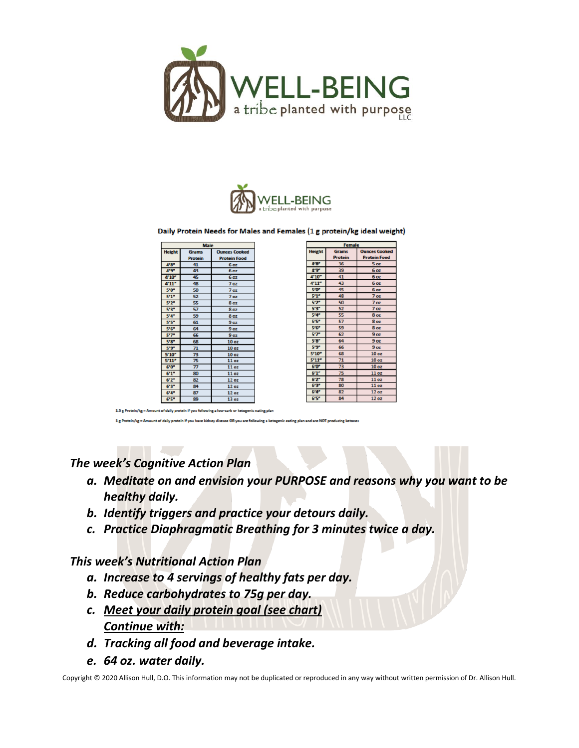



#### Daily Protein Needs for Males and Females (1 g protein/kg ideal weight)

| <b>Male</b>   |                |                      |  |  |
|---------------|----------------|----------------------|--|--|
| <b>Height</b> | <b>Grams</b>   | <b>Ounces Cooked</b> |  |  |
|               | <b>Protein</b> | <b>Protein Food</b>  |  |  |
| 4'8''         | 41             | 6 oz                 |  |  |
| 4'9''         | 43             | 6 <sub>oz</sub>      |  |  |
| 4'10''        | 45             | <b>6 oz</b>          |  |  |
| 4'11''        | 48             | 7 <sub>oz</sub>      |  |  |
| 5'0"          | 50             | 7 <sub>oz</sub>      |  |  |
| 5'1''         | 52             | 7 <sub>oz</sub>      |  |  |
| 5'2"          | 55             | 8 <sub>oz</sub>      |  |  |
| 5'3''         | 57             | 8 <sub>oz</sub>      |  |  |
| 5'4''         | 59             | 8 <sub>oz</sub>      |  |  |
| 5'5''         | 61             | 9 <sub>oz</sub>      |  |  |
| 5'6''         | 64             | 9 oz                 |  |  |
| 5'7''         | 66             | 9 oz                 |  |  |
| 5'8''         | 68             | 10 <sub>oz</sub>     |  |  |
| 5'9"          | 71             | 10 oz                |  |  |
| 5'10''        | 73             | 10 <sub>oz</sub>     |  |  |
| 5'11''        | 75             | 11 <sub>oz</sub>     |  |  |
| 6'0''         | 77             | 11 <sub>oz</sub>     |  |  |
| 6'1''         | 80             | 11 oz                |  |  |
| 6'2''         | 82             | <b>12 oz</b>         |  |  |
| 6'3''         | 84             | 12 <sub>oz</sub>     |  |  |
| 6'4''         | 87             | 12 oz                |  |  |
| 6'5''         | 89             | 13 <sub>oz</sub>     |  |  |

| <b>Female</b> |                                |                                             |  |  |
|---------------|--------------------------------|---------------------------------------------|--|--|
| <b>Height</b> | <b>Grams</b><br><b>Protein</b> | <b>Ounces Cooked</b><br><b>Protein Food</b> |  |  |
| 4'8''         | 36                             | 5 oz                                        |  |  |
| 4'9"          | 39                             | 6 oz                                        |  |  |
| 4'10"         | 41                             | <b>6 oz</b>                                 |  |  |
| 4'11''        | 43                             | 6 <sub>oz</sub>                             |  |  |
| 5'0"          | 45                             | 6 <sub>oz</sub>                             |  |  |
| 5'1''         | 48                             | 7 <sub>oz</sub>                             |  |  |
| 5'2''         | 50                             | 7 <sub>oz</sub>                             |  |  |
| 5'3"          | 52                             | 7 oz                                        |  |  |
| 5'4''         | 55                             | <b>8 oz</b>                                 |  |  |
| 5'5''         | 57                             | <b>8 oz</b>                                 |  |  |
| 5'6''         | 59                             | 8 <sub>02</sub>                             |  |  |
| 5'7''         | 62                             | 9 <sub>oz</sub>                             |  |  |
| <b>5'8"</b>   | 64                             | 9 <sub>oz</sub>                             |  |  |
| 5'9''         | 66                             | 9 <sub>oz</sub>                             |  |  |
| 5'10"         | 68                             | 10 <sub>oz</sub>                            |  |  |
| 5'11''        | 71                             | 10 <sub>oz</sub>                            |  |  |
| 6'0''         | 73                             | 10 <sub>oz</sub>                            |  |  |
| 6'1''         | 75                             | 11 oz                                       |  |  |
| 6'2''         | 78                             | 11 oz                                       |  |  |
| 6'3''         | 80                             | 11 <sub>oz</sub>                            |  |  |
| 6'4''         | 82                             | 12 oz                                       |  |  |
| 6'5''         | 84                             | 12 <sub>oz</sub>                            |  |  |

nt of daily protein if you follow

nt of daily nostain if you have bid enic eating plan and are NOT o

### *The week's Cognitive Action Plan*

- *a. Meditate on and envision your PURPOSE and reasons why you want to be healthy daily.*
- *b. Identify triggers and practice your detours daily.*
- *c. Practice Diaphragmatic Breathing for 3 minutes twice a day.*

#### *This week's Nutritional Action Plan*

- *a. Increase to 4 servings of healthy fats per day.*
- *b. Reduce carbohydrates to 75g per day.*
- *c. Meet your daily protein goal (see chart) Continue with:*
- *d. Tracking all food and beverage intake.*
- *e. 64 oz. water daily.*